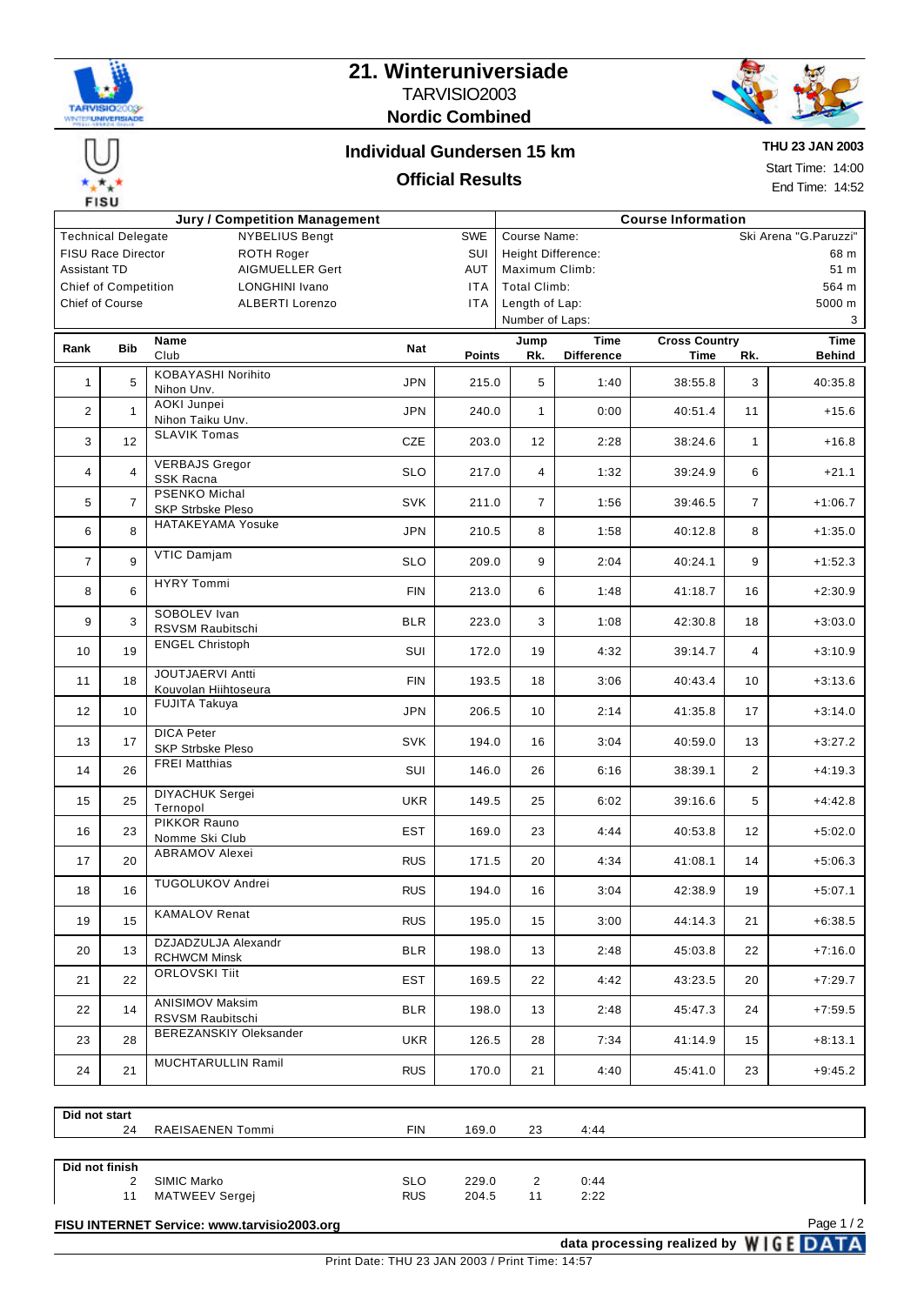

# **21. Winteruniversiade** TARVISIO2003 **Nordic Combined**



#### **Individual Gundersen 15 km**

#### **Official Results**

**THU 23 JAN 2003**

Start Time: 14:00 End Time: 14:52

| <b>190</b>                                                                                               |                 |                                                      |                          |                          |                                                                    |                                   |                                       |                      |                        |  |  |  |
|----------------------------------------------------------------------------------------------------------|-----------------|------------------------------------------------------|--------------------------|--------------------------|--------------------------------------------------------------------|-----------------------------------|---------------------------------------|----------------------|------------------------|--|--|--|
| <b>Jury / Competition Management</b><br><b>Technical Delegate</b><br><b>NYBELIUS Bengt</b><br><b>SWE</b> |                 |                                                      |                          |                          | <b>Course Information</b><br>Ski Arena "G.Paruzzi"<br>Course Name: |                                   |                                       |                      |                        |  |  |  |
| <b>FISU Race Director</b><br><b>ROTH Roger</b><br>SUI                                                    |                 |                                                      |                          |                          |                                                                    | <b>Height Difference:</b><br>68 m |                                       |                      |                        |  |  |  |
| <b>Assistant TD</b><br><b>AIGMUELLER Gert</b><br>AUT                                                     |                 |                                                      |                          |                          |                                                                    | Maximum Climb:<br>51 m            |                                       |                      |                        |  |  |  |
| <b>Chief of Competition</b><br><b>LONGHINI Ivano</b><br><b>ITA</b>                                       |                 |                                                      |                          |                          | <b>Total Climb:</b><br>564 m                                       |                                   |                                       |                      |                        |  |  |  |
|                                                                                                          | Chief of Course | <b>ALBERTI Lorenzo</b>                               | <b>ITA</b>               | Length of Lap:<br>5000 m |                                                                    |                                   |                                       |                      |                        |  |  |  |
|                                                                                                          |                 |                                                      |                          | Number of Laps:<br>3     |                                                                    |                                   |                                       |                      |                        |  |  |  |
| Rank                                                                                                     | <b>Bib</b>      | Name                                                 | Nat                      |                          | Jump                                                               | <b>Time</b>                       |                                       | <b>Cross Country</b> |                        |  |  |  |
|                                                                                                          |                 | Club                                                 |                          | Points                   | Rk.                                                                | <b>Difference</b>                 | Time                                  | Rk.                  | <b>Behind</b>          |  |  |  |
| 1                                                                                                        | 5               | <b>KOBAYASHI Norihito</b><br>Nihon Unv.              | <b>JPN</b>               | 215.0                    | 5                                                                  | 1:40                              | 38:55.8                               | 3                    | 40:35.8                |  |  |  |
| $\overline{2}$                                                                                           | $\mathbf{1}$    | AOKI Junpei<br>Nihon Taiku Unv.                      | <b>JPN</b>               | 240.0                    | $\mathbf{1}$                                                       | 0:00                              | 40:51.4                               | 11                   | $+15.6$                |  |  |  |
| 3                                                                                                        | 12              | <b>SLAVIK Tomas</b><br><b>VERBAJS Gregor</b>         | CZE                      | 203.0                    | 12                                                                 | 2:28                              | 38:24.6                               | $\mathbf{1}$         | $+16.8$                |  |  |  |
| 4                                                                                                        | $\overline{4}$  | <b>SSK Racna</b><br>PSENKO Michal                    | <b>SLO</b>               | 217.0                    | $\overline{4}$                                                     | 1:32                              | 39:24.9                               | 6                    | $+21.1$                |  |  |  |
| 5                                                                                                        | $\overline{7}$  | <b>SKP Strbske Pleso</b><br><b>HATAKEYAMA Yosuke</b> | <b>SVK</b>               | 211.0                    | $\overline{7}$                                                     | 1:56                              | 39:46.5                               | $\overline{7}$       | $+1:06.7$              |  |  |  |
| 6                                                                                                        | 8               | VTIC Damjam                                          | <b>JPN</b>               | 210.5                    | 8                                                                  | 1:58                              | 40:12.8                               | 8                    | $+1:35.0$              |  |  |  |
| $\overline{7}$                                                                                           | 9               | <b>HYRY Tommi</b>                                    | <b>SLO</b>               | 209.0                    | 9                                                                  | 2:04                              | 40:24.1                               | 9                    | $+1:52.3$              |  |  |  |
| 8                                                                                                        | 6               | SOBOLEV Ivan                                         | <b>FIN</b>               | 213.0                    | 6                                                                  | 1:48                              | 41:18.7                               | 16                   | $+2:30.9$              |  |  |  |
| 9                                                                                                        | 3               | RSVSM Raubitschi<br><b>ENGEL Christoph</b>           | <b>BLR</b>               | 223.0                    | 3                                                                  | 1:08                              | 42:30.8                               | 18                   | $+3:03.0$              |  |  |  |
| 10                                                                                                       | 19              | <b>JOUTJAERVI Antti</b>                              | SUI                      | 172.0                    | 19                                                                 | 4:32                              | 39:14.7                               | $\overline{4}$       | $+3:10.9$              |  |  |  |
| 11                                                                                                       | 18<br>10        | Kouvolan Hiihtoseura<br><b>FUJITA Takuya</b>         | <b>FIN</b>               | 193.5                    | 18                                                                 | 3:06                              | 40:43.4                               | 10                   | $+3:13.6$              |  |  |  |
| 12<br>13                                                                                                 | 17              | <b>DICA Peter</b>                                    | <b>JPN</b><br><b>SVK</b> | 206.5<br>194.0           | 10<br>16                                                           | 2:14<br>3:04                      | 41:35.8<br>40:59.0                    | 17<br>13             | $+3:14.0$<br>$+3:27.2$ |  |  |  |
| 14                                                                                                       | 26              | <b>SKP Strbske Pleso</b><br><b>FREI Matthias</b>     | SUI                      | 146.0                    | 26                                                                 | 6:16                              | 38:39.1                               | 2                    | $+4:19.3$              |  |  |  |
| 15                                                                                                       | 25              | DIYACHUK Sergei                                      | <b>UKR</b>               | 149.5                    | 25                                                                 | 6:02                              | 39:16.6                               | 5                    | $+4:42.8$              |  |  |  |
| 16                                                                                                       | 23              | Ternopol<br>PIKKOR Rauno                             | <b>EST</b>               | 169.0                    | 23                                                                 | 4:44                              | 40:53.8                               | 12                   | $+5:02.0$              |  |  |  |
| 17                                                                                                       | 20              | Nomme Ski Club<br><b>ABRAMOV Alexei</b>              | <b>RUS</b>               | 171.5                    | 20                                                                 | 4:34                              | 41:08.1                               | 14                   | $+5:06.3$              |  |  |  |
| 18                                                                                                       | 16              | TUGOLUKOV Andrei                                     | <b>RUS</b>               | 194.0                    | 16                                                                 | 3:04                              | 42:38.9                               | 19                   | $+5:07.1$              |  |  |  |
| 19                                                                                                       | 15              | <b>KAMALOV Renat</b>                                 | <b>RUS</b>               | 195.0                    | 15                                                                 | 3:00                              | 44:14.3                               | 21                   | $+6:38.5$              |  |  |  |
| 20                                                                                                       | 13              | DZJADZULJA Alexandr<br><b>RCHWCM Minsk</b>           | <b>BLR</b>               | 198.0                    | 13                                                                 | 2:48                              | 45:03.8                               | 22                   | $+7:16.0$              |  |  |  |
| 21                                                                                                       | 22              | <b>ORLOVSKI Tiit</b>                                 | <b>EST</b>               | 169.5                    | 22                                                                 | 4:42                              | 43:23.5                               | 20                   | $+7:29.7$              |  |  |  |
| 22                                                                                                       | 14              | <b>ANISIMOV Maksim</b><br>RSVSM Raubitschi           | <b>BLR</b>               | 198.0                    | 13                                                                 | 2:48                              | 45:47.3                               | 24                   | $+7:59.5$              |  |  |  |
| 23                                                                                                       | 28              | BEREZANSKIY Oleksander                               | <b>UKR</b>               | 126.5                    | 28                                                                 | 7:34                              | 41:14.9                               | 15                   | +8:13.1                |  |  |  |
| 24                                                                                                       | 21              | MUCHTARULLIN Ramil                                   | <b>RUS</b>               | 170.0                    | 21                                                                 | 4:40                              | 45:41.0                               | 23                   | $+9:45.2$              |  |  |  |
|                                                                                                          |                 |                                                      |                          |                          |                                                                    |                                   |                                       |                      |                        |  |  |  |
| Did not start                                                                                            | 24              | RAEISAENEN Tommi                                     | <b>FIN</b>               | 169.0                    | 23                                                                 | 4:44                              |                                       |                      |                        |  |  |  |
|                                                                                                          |                 |                                                      |                          |                          |                                                                    |                                   |                                       |                      |                        |  |  |  |
| Did not finish                                                                                           |                 |                                                      |                          |                          |                                                                    |                                   |                                       |                      |                        |  |  |  |
|                                                                                                          | 2<br>11         | SIMIC Marko<br>MATWEEV Sergej                        | <b>SLO</b><br><b>RUS</b> | 229.0<br>204.5           | 2<br>11                                                            | 0:44<br>2:22                      |                                       |                      |                        |  |  |  |
| Page 1/2<br>FISU INTERNET Service: www.tarvisio2003.org                                                  |                 |                                                      |                          |                          |                                                                    |                                   |                                       |                      |                        |  |  |  |
|                                                                                                          |                 |                                                      |                          |                          |                                                                    |                                   | data processing realized by WIGE DATA |                      |                        |  |  |  |